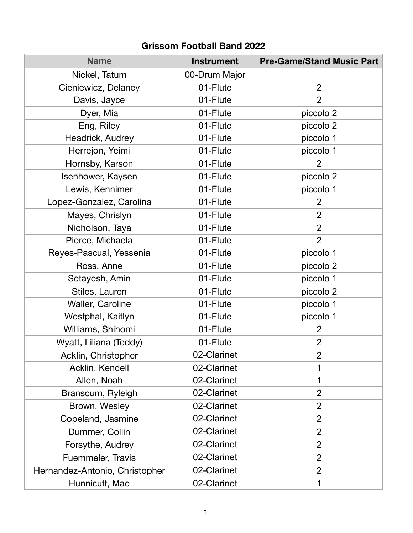## **Grissom Football Band 2022**

| <b>Name</b>                    | <b>Instrument</b> | <b>Pre-Game/Stand Music Part</b> |
|--------------------------------|-------------------|----------------------------------|
| Nickel, Tatum                  | 00-Drum Major     |                                  |
| Cieniewicz, Delaney            | 01-Flute          | $\overline{2}$                   |
| Davis, Jayce                   | 01-Flute          | $\overline{2}$                   |
| Dyer, Mia                      | 01-Flute          | piccolo 2                        |
| Eng, Riley                     | 01-Flute          | piccolo 2                        |
| Headrick, Audrey               | 01-Flute          | piccolo 1                        |
| Herrejon, Yeimi                | 01-Flute          | piccolo 1                        |
| Hornsby, Karson                | 01-Flute          | 2                                |
| Isenhower, Kaysen              | 01-Flute          | piccolo 2                        |
| Lewis, Kennimer                | 01-Flute          | piccolo 1                        |
| Lopez-Gonzalez, Carolina       | 01-Flute          | $\overline{2}$                   |
| Mayes, Chrislyn                | 01-Flute          | $\overline{2}$                   |
| Nicholson, Taya                | 01-Flute          | $\overline{2}$                   |
| Pierce, Michaela               | 01-Flute          | $\overline{2}$                   |
| Reyes-Pascual, Yessenia        | 01-Flute          | piccolo 1                        |
| Ross, Anne                     | 01-Flute          | piccolo 2                        |
| Setayesh, Amin                 | 01-Flute          | piccolo 1                        |
| Stiles, Lauren                 | 01-Flute          | piccolo 2                        |
| Waller, Caroline               | 01-Flute          | piccolo 1                        |
| Westphal, Kaitlyn              | 01-Flute          | piccolo 1                        |
| Williams, Shihomi              | 01-Flute          | $\overline{2}$                   |
| Wyatt, Liliana (Teddy)         | 01-Flute          | $\overline{2}$                   |
| Acklin, Christopher            | 02-Clarinet       | $\overline{2}$                   |
| Acklin, Kendell                | 02-Clarinet       | 1                                |
| Allen, Noah                    | 02-Clarinet       | 1                                |
| Branscum, Ryleigh              | 02-Clarinet       | $\overline{2}$                   |
| Brown, Wesley                  | 02-Clarinet       | $\overline{2}$                   |
| Copeland, Jasmine              | 02-Clarinet       | $\overline{2}$                   |
| Dummer, Collin                 | 02-Clarinet       | $\overline{2}$                   |
| Forsythe, Audrey               | 02-Clarinet       | $\overline{2}$                   |
| Fuemmeler, Travis              | 02-Clarinet       | $\overline{2}$                   |
| Hernandez-Antonio, Christopher | 02-Clarinet       | $\overline{2}$                   |
| Hunnicutt, Mae                 | 02-Clarinet       | 1                                |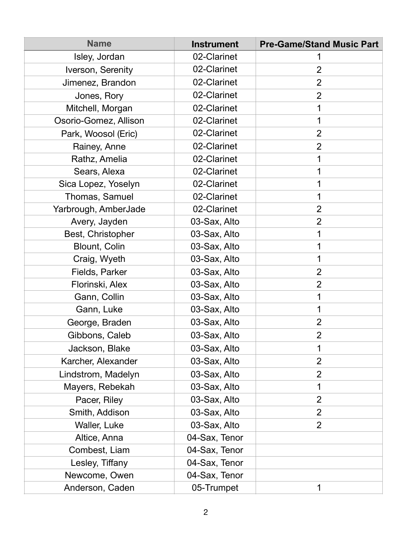| <b>Name</b>           | <b>Instrument</b> | <b>Pre-Game/Stand Music Part</b> |
|-----------------------|-------------------|----------------------------------|
| Isley, Jordan         | 02-Clarinet       |                                  |
| Iverson, Serenity     | 02-Clarinet       | $\overline{2}$                   |
| Jimenez, Brandon      | 02-Clarinet       | $\overline{2}$                   |
| Jones, Rory           | 02-Clarinet       | $\overline{2}$                   |
| Mitchell, Morgan      | 02-Clarinet       |                                  |
| Osorio-Gomez, Allison | 02-Clarinet       |                                  |
| Park, Woosol (Eric)   | 02-Clarinet       | $\overline{2}$                   |
| Rainey, Anne          | 02-Clarinet       | $\overline{2}$                   |
| Rathz, Amelia         | 02-Clarinet       |                                  |
| Sears, Alexa          | 02-Clarinet       |                                  |
| Sica Lopez, Yoselyn   | 02-Clarinet       |                                  |
| Thomas, Samuel        | 02-Clarinet       |                                  |
| Yarbrough, AmberJade  | 02-Clarinet       | $\overline{2}$                   |
| Avery, Jayden         | 03-Sax, Alto      | $\overline{2}$                   |
| Best, Christopher     | 03-Sax, Alto      |                                  |
| Blount, Colin         | 03-Sax, Alto      |                                  |
| Craig, Wyeth          | 03-Sax, Alto      |                                  |
| Fields, Parker        | 03-Sax, Alto      | $\overline{2}$                   |
| Florinski, Alex       | 03-Sax, Alto      | $\overline{2}$                   |
| Gann, Collin          | 03-Sax, Alto      |                                  |
| Gann, Luke            | 03-Sax, Alto      |                                  |
| George, Braden        | 03-Sax, Alto      | $\overline{2}$                   |
| Gibbons, Caleb        | 03-Sax, Alto      | $\overline{2}$                   |
| Jackson, Blake        | 03-Sax, Alto      | 1                                |
| Karcher, Alexander    | 03-Sax, Alto      | $\overline{2}$                   |
| Lindstrom, Madelyn    | 03-Sax, Alto      | $\overline{2}$                   |
| Mayers, Rebekah       | 03-Sax, Alto      |                                  |
| Pacer, Riley          | 03-Sax, Alto      | $\overline{2}$                   |
| Smith, Addison        | 03-Sax, Alto      | $\overline{2}$                   |
| Waller, Luke          | 03-Sax, Alto      | $\overline{2}$                   |
| Altice, Anna          | 04-Sax, Tenor     |                                  |
| Combest, Liam         | 04-Sax, Tenor     |                                  |
| Lesley, Tiffany       | 04-Sax, Tenor     |                                  |
| Newcome, Owen         | 04-Sax, Tenor     |                                  |
| Anderson, Caden       | 05-Trumpet        | 1                                |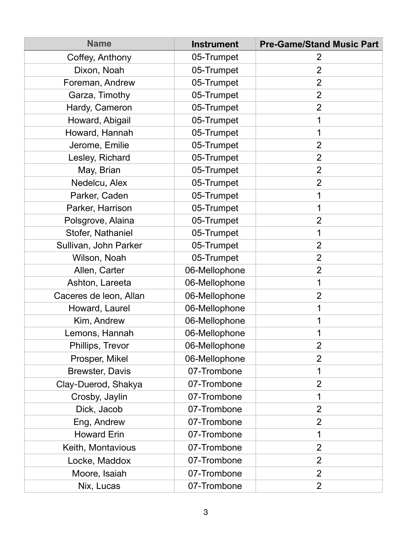| <b>Name</b>            | <b>Instrument</b> | <b>Pre-Game/Stand Music Part</b> |
|------------------------|-------------------|----------------------------------|
| Coffey, Anthony        | 05-Trumpet        | 2                                |
| Dixon, Noah            | 05-Trumpet        | $\overline{2}$                   |
| Foreman, Andrew        | 05-Trumpet        | 2                                |
| Garza, Timothy         | 05-Trumpet        | $\overline{2}$                   |
| Hardy, Cameron         | 05-Trumpet        | $\overline{2}$                   |
| Howard, Abigail        | 05-Trumpet        |                                  |
| Howard, Hannah         | 05-Trumpet        |                                  |
| Jerome, Emilie         | 05-Trumpet        | $\overline{2}$                   |
| Lesley, Richard        | 05-Trumpet        | $\overline{2}$                   |
| May, Brian             | 05-Trumpet        | $\overline{2}$                   |
| Nedelcu, Alex          | 05-Trumpet        | $\overline{2}$                   |
| Parker, Caden          | 05-Trumpet        |                                  |
| Parker, Harrison       | 05-Trumpet        |                                  |
| Polsgrove, Alaina      | 05-Trumpet        | 2                                |
| Stofer, Nathaniel      | 05-Trumpet        |                                  |
| Sullivan, John Parker  | 05-Trumpet        | $\overline{2}$                   |
| Wilson, Noah           | 05-Trumpet        | $\overline{2}$                   |
| Allen, Carter          | 06-Mellophone     | $\overline{2}$                   |
| Ashton, Lareeta        | 06-Mellophone     |                                  |
| Caceres de leon, Allan | 06-Mellophone     | $\overline{2}$                   |
| Howard, Laurel         | 06-Mellophone     |                                  |
| Kim, Andrew            | 06-Mellophone     |                                  |
| Lemons, Hannah         | 06-Mellophone     | 1                                |
| Phillips, Trevor       | 06-Mellophone     | $\overline{2}$                   |
| Prosper, Mikel         | 06-Mellophone     | $\overline{2}$                   |
| <b>Brewster, Davis</b> | 07-Trombone       | 1                                |
| Clay-Duerod, Shakya    | 07-Trombone       | $\overline{2}$                   |
| Crosby, Jaylin         | 07-Trombone       | 1                                |
| Dick, Jacob            | 07-Trombone       | $\overline{2}$                   |
| Eng, Andrew            | 07-Trombone       | $\overline{2}$                   |
| <b>Howard Erin</b>     | 07-Trombone       | 1                                |
| Keith, Montavious      | 07-Trombone       | $\overline{2}$                   |
| Locke, Maddox          | 07-Trombone       | $\overline{2}$                   |
| Moore, Isaiah          | 07-Trombone       | $\overline{2}$                   |
| Nix, Lucas             | 07-Trombone       | $\overline{2}$                   |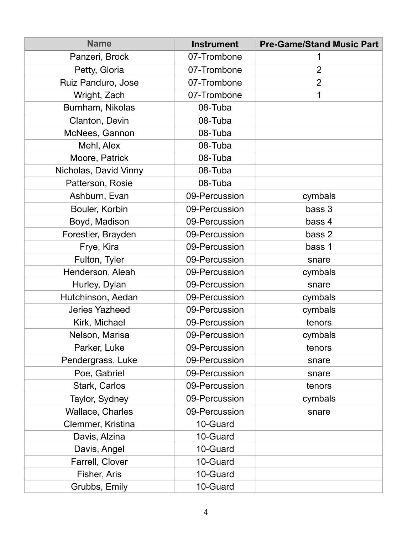| <b>Name</b>             | <b>Instrument</b> | <b>Pre-Game/Stand Music Part</b> |
|-------------------------|-------------------|----------------------------------|
| Panzeri, Brock          | 07-Trombone       |                                  |
| Petty, Gloria           | 07-Trombone       | $\overline{2}$                   |
| Ruiz Panduro, Jose      | 07-Trombone       | $\overline{2}$                   |
| Wright, Zach            | 07-Trombone       | 1                                |
| Burnham, Nikolas        | 08-Tuba           |                                  |
| Clanton, Devin          | 08-Tuba           |                                  |
| McNees, Gannon          | 08-Tuba           |                                  |
| Mehl, Alex              | 08-Tuba           |                                  |
| Moore, Patrick          | 08-Tuba           |                                  |
| Nicholas, David Vinny   | 08-Tuba           |                                  |
| Patterson, Rosie        | 08-Tuba           |                                  |
| Ashburn, Evan           | 09-Percussion     | cymbals                          |
| Bouler, Korbin          | 09-Percussion     | bass 3                           |
| Boyd, Madison           | 09-Percussion     | bass 4                           |
| Forestier, Brayden      | 09-Percussion     | bass 2                           |
| Frye, Kira              | 09-Percussion     | bass 1                           |
| Fulton, Tyler           | 09-Percussion     | snare                            |
| Henderson, Aleah        | 09-Percussion     | cymbals                          |
| Hurley, Dylan           | 09-Percussion     | snare                            |
| Hutchinson, Aedan       | 09-Percussion     | cymbals                          |
| <b>Jeries Yazheed</b>   | 09-Percussion     | cymbals                          |
| Kirk, Michael           | 09-Percussion     | tenors                           |
| Nelson, Marisa          | 09-Percussion     | cymbals                          |
| Parker, Luke            | 09-Percussion     | tenors                           |
| Pendergrass, Luke       | 09-Percussion     | snare                            |
| Poe, Gabriel            | 09-Percussion     | snare                            |
| Stark, Carlos           | 09-Percussion     | tenors                           |
| Taylor, Sydney          | 09-Percussion     | cymbals                          |
| <b>Wallace, Charles</b> | 09-Percussion     | snare                            |
| Clemmer, Kristina       | 10-Guard          |                                  |
| Davis, Alzina           | 10-Guard          |                                  |
| Davis, Angel            | 10-Guard          |                                  |
| Farrell, Clover         | 10-Guard          |                                  |
| Fisher, Aris            | 10-Guard          |                                  |
| Grubbs, Emily           | 10-Guard          |                                  |